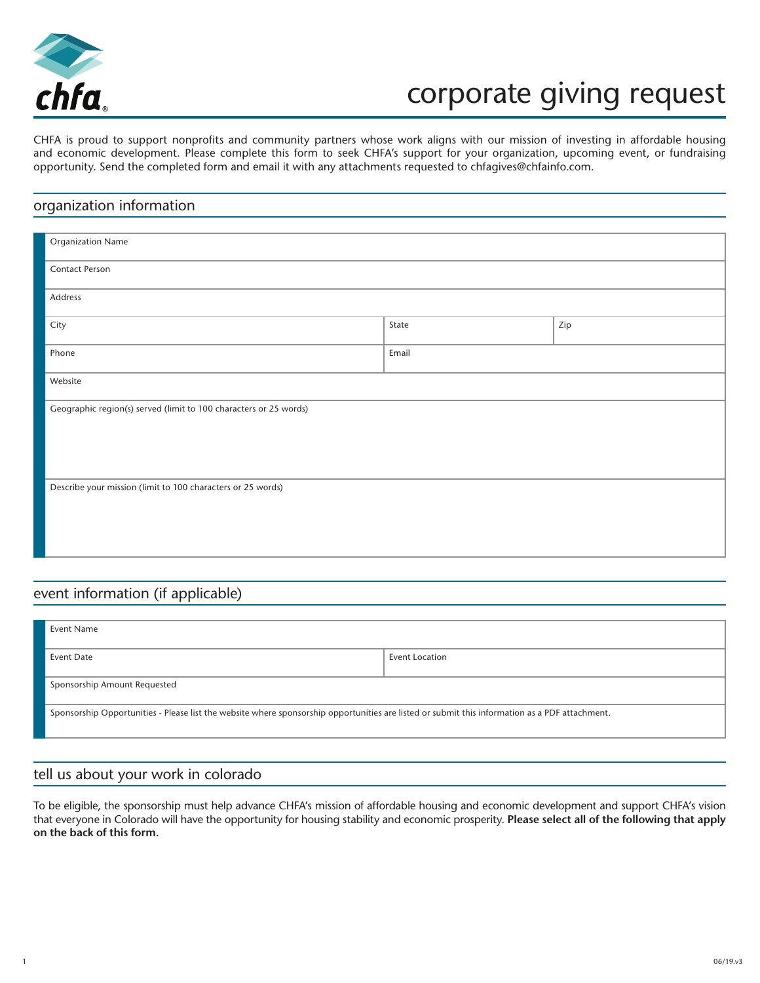

# corporate giving request

CHFA is proud to support nonprofits and community partners whose work aligns with our mission of investing in affordable housing and economic development. Please complete this form to seek CHFA's support for your organization, upcoming event, or fundraising opportunity. Send the completed form and email it with any attachments requested to chfagives@chfainfo.com.

#### organization information

| Organization Name                                                 |       |     |  |  |
|-------------------------------------------------------------------|-------|-----|--|--|
| Contact Person                                                    |       |     |  |  |
| Address                                                           |       |     |  |  |
| City                                                              | State | Zip |  |  |
| Phone                                                             | Email |     |  |  |
| Website                                                           |       |     |  |  |
| Geographic region(s) served (limit to 100 characters or 25 words) |       |     |  |  |
|                                                                   |       |     |  |  |
|                                                                   |       |     |  |  |
| Describe your mission (limit to 100 characters or 25 words)       |       |     |  |  |
|                                                                   |       |     |  |  |
|                                                                   |       |     |  |  |

## event information (if applicable)

| Event Name                                                                                                                                     |                |  |  |
|------------------------------------------------------------------------------------------------------------------------------------------------|----------------|--|--|
| Event Date                                                                                                                                     | Event Location |  |  |
| Sponsorship Amount Requested                                                                                                                   |                |  |  |
| Sponsorship Opportunities - Please list the website where sponsorship opportunities are listed or submit this information as a PDF attachment. |                |  |  |

### tell us about your work in colorado

1

To be eligible, the sponsorship must help advance CHFA's mission of affordable housing and economic development and support CHFA's vision that everyone in Colorado will have the opportunity for housing stability and economic prosperity. **Please select all of the following that apply on the back of this form.**